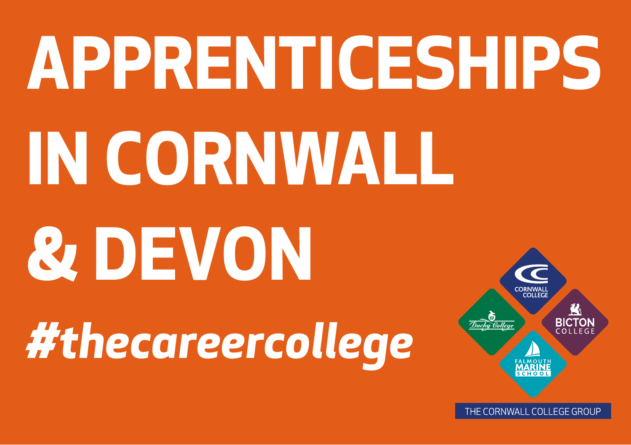# **APPRENTICESHIPS** IN CORNWALL **& DEVON** #thecareercollege Duchu Bolleae

THE CORNWALL COLLEGE GROUP